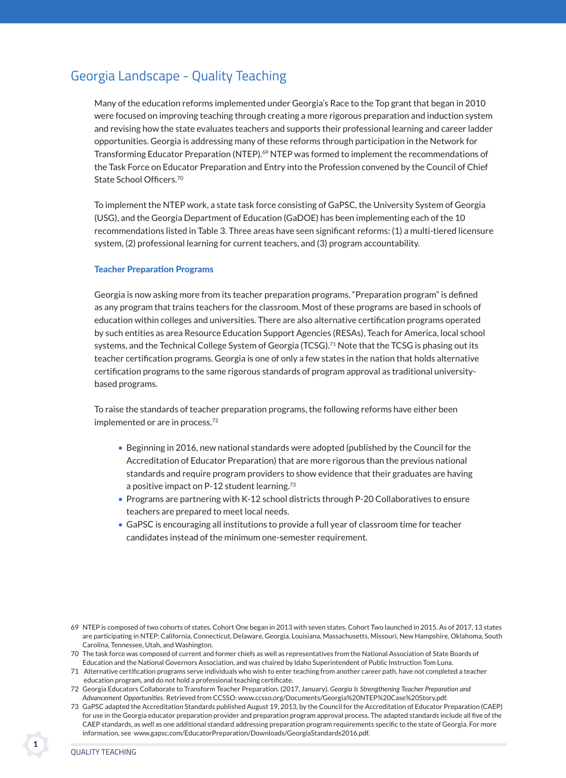# Georgia Landscape - Quality Teaching

 Many of the education reforms implemented under Georgia's Race to the Top grant that began in 2010 were focused on improving teaching through creating a more rigorous preparation and induction system and revising how the state evaluates teachers and supports their professional learning and career ladder opportunities. Georgia is addressing many of these reforms through participation in the Network for Transforming Educator Preparation (NTEP).<sup>69</sup> NTEP was formed to implement the recommendations of the Task Force on Educator Preparation and Entry into the Profession convened by the Council of Chief State School Officers.70

 To implement the NTEP work, a state task force consisting of GaPSC, the University System of Georgia (USG), and the Georgia Department of Education (GaDOE) has been implementing each of the 10 recommendations listed in Table 3. Three areas have seen significant reforms: (1) a multi-tiered licensure system, (2) professional learning for current teachers, and (3) program accountability.

### Teacher Preparation Programs

 Georgia is now asking more from its teacher preparation programs. "Preparation program" is defined as any program that trains teachers for the classroom. Most of these programs are based in schools of education within colleges and universities. There are also alternative certification programs operated by such entities as area Resource Education Support Agencies (RESAs), Teach for America, local school systems, and the Technical College System of Georgia (TCSG).<sup>71</sup> Note that the TCSG is phasing out its teacher certification programs. Georgia is one of only a few states in the nation that holds alternative certification programs to the same rigorous standards of program approval as traditional universitybased programs.

 To raise the standards of teacher preparation programs, the following reforms have either been implemented or are in process.<sup>72</sup>

- Beginning in 2016, new national standards were adopted (published by the Council for the Accreditation of Educator Preparation) that are more rigorous than the previous national standards and require program providers to show evidence that their graduates are having a positive impact on P-12 student learning.<sup>73</sup>
- Programs are partnering with K-12 school districts through P-20 Collaboratives to ensure teachers are prepared to meet local needs.
- GaPSC is encouraging all institutions to provide a full year of classroom time for teacher candidates instead of the minimum one-semester requirement.

73 GaPSC adapted the Accreditation Standards published August 19, 2013, by the Council for the Accreditation of Educator Preparation (CAEP) for use in the Georgia educator preparation provider and preparation program approval process. The adapted standards include all five of the CAEP standards, as well as one additional standard addressing preparation program requirements specific to the state of Georgia. For more information, see www.gapsc.com/EducatorPreparation/Downloads/GeorgiaStandards2016.pdf.

<sup>69</sup> NTEP is composed of two cohorts of states. Cohort One began in 2013 with seven states. Cohort Two launched in 2015. As of 2017, 13 states are participating in NTEP: California, Connecticut, Delaware, Georgia, Louisiana, Massachusetts, Missouri, New Hampshire, Oklahoma, South Carolina, Tennessee, Utah, and Washington.

<sup>70</sup> The task force was composed of current and former chiefs as well as representatives from the National Association of State Boards of Education and the National Governors Association, and was chaired by Idaho Superintendent of Public Instruction Tom Luna.

<sup>71</sup> Alternative certification programs serve individuals who wish to enter teaching from another career path, have not completed a teacher education program, and do not hold a professional teaching certificate.

<sup>72</sup> Georgia Educators Collaborate to Transform Teacher Preparation. (2017, January). *Georgia Is Strengthening Teacher Preparation and Advancement Opportunities.* Retrieved from CCSSO: www.ccsso.org/Documents/Georgia%20NTEP%20Case%20Story.pdf.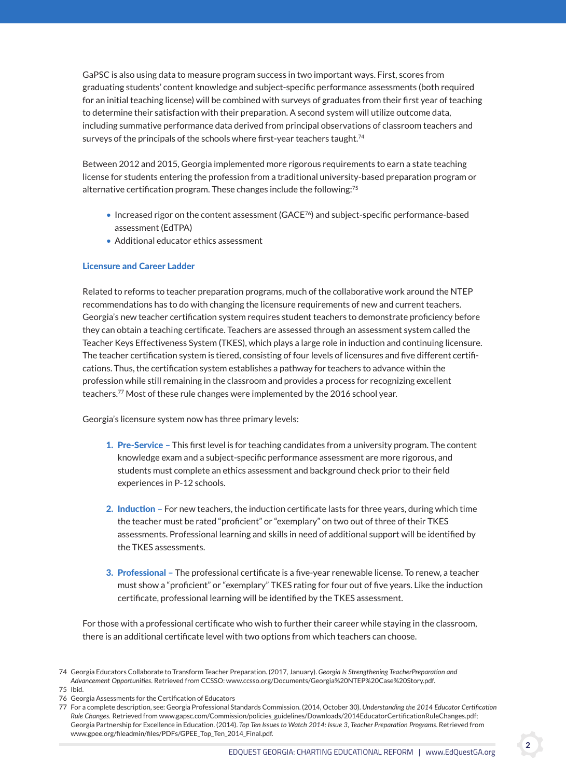GaPSC is also using data to measure program success in two important ways. First, scores from graduating students' content knowledge and subject-specific performance assessments (both required for an initial teaching license) will be combined with surveys of graduates from their first year of teaching to determine their satisfaction with their preparation. A second system will utilize outcome data, including summative performance data derived from principal observations of classroom teachers and surveys of the principals of the schools where first-year teachers taught.<sup>74</sup>

 Between 2012 and 2015, Georgia implemented more rigorous requirements to earn a state teaching license for students entering the profession from a traditional university-based preparation program or alternative certification program. These changes include the following:75

- Increased rigor on the content assessment (GACE<sup>76</sup>) and subject-specific performance-based assessment (EdTPA)
- Additional educator ethics assessment

## licensure and career ladder

 Related to reforms to teacher preparation programs, much of the collaborative work around the NTEP recommendations has to do with changing the licensure requirements of new and current teachers. Georgia's new teacher certification system requires student teachers to demonstrate proficiency before they can obtain a teaching certificate. Teachers are assessed through an assessment system called the Teacher Keys Effectiveness System (TKES), which plays a large role in induction and continuing licensure. The teacher certification system is tiered, consisting of four levels of licensures and five different certifications. Thus, the certification system establishes a pathway for teachers to advance within the profession while still remaining in the classroom and provides a process for recognizing excellent teachers.<sup>77</sup> Most of these rule changes were implemented by the 2016 school year.

Georgia's licensure system now has three primary levels:

- 1. Pre-service This first level is for teaching candidates from a university program. The content knowledge exam and a subject-specific performance assessment are more rigorous, and students must complete an ethics assessment and background check prior to their field experiences in P-12 schools.
- 2. Induction For new teachers, the induction certificate lasts for three years, during which time the teacher must be rated "proficient" or "exemplary" on two out of three of their TKES assessments. Professional learning and skills in need of additional support will be identified by the TKES assessments.
- 3. Professional The professional certificate is a five-year renewable license. To renew, a teacher must show a "proficient" or "exemplary" TKES rating for four out of five years. Like the induction certificate, professional learning will be identified by the TKES assessment.

 For those with a professional certificate who wish to further their career while staying in the classroom, there is an additional certificate level with two options from which teachers can choose.

- 75 Ibid.
- 76 Georgia Assessments for the Certification of Educators

<sup>74</sup> Georgia Educators Collaborate to Transform Teacher Preparation. (2017, January). *Georgia Is Strengthening TeacherPreparation and Advancement Opportunities.* Retrieved from CCSSO: www.ccsso.org/Documents/Georgia%20NTEP%20Case%20Story.pdf.

<sup>77</sup> For a complete description, see: Georgia Professional Standards Commission. (2014, October 30). *Understanding the 2014 Educator Certification Rule Changes.* Retrieved from www.gapsc.com/Commission/policies\_guidelines/Downloads/2014EducatorCertificationRuleChanges.pdf; Georgia Partnership for Excellence in Education. (2014). *Top Ten Issues to Watch 2014: Issue 3, Teacher Preparation Programs*. Retrieved from www.gpee.org/fileadmin/files/PDFs/GPEE\_Top\_Ten\_2014\_Final.pdf.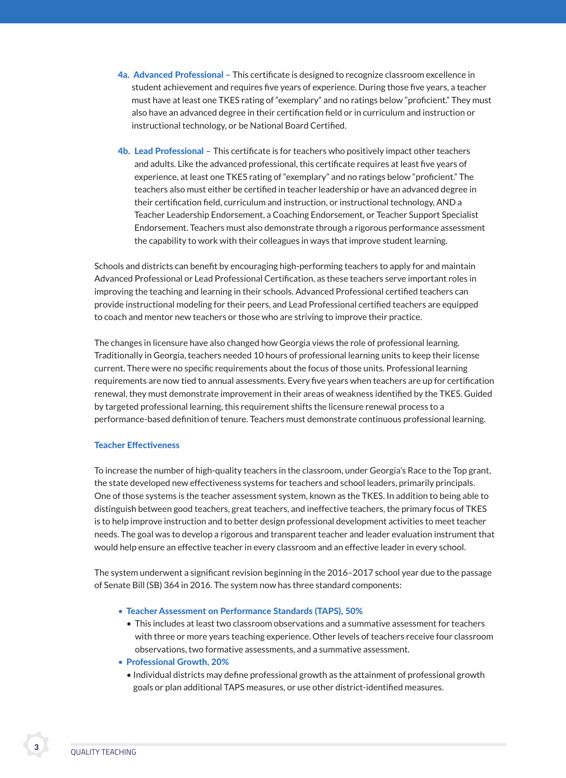- 4a. Advanced Professional This certificate is designed to recognize classroom excellence in student achievement and requires five years of experience. During those five years, a teacher must have at least one TKES rating of "exemplary" and no ratings below "proficient." They must also have an advanced degree in their certification field or in curriculum and instruction or instructional technology, or be National Board Certified.
- 4b. Lead Professional This certificate is for teachers who positively impact other teachers and adults. Like the advanced professional, this certificate requires at least five years of experience, at least one TKES rating of "exemplary" and no ratings below "proficient." The teachers also must either be certified in teacher leadership or have an advanced degree in their certification field, curriculum and instruction, or instructional technology, AND a Teacher Leadership Endorsement, a Coaching Endorsement, or Teacher Support Specialist Endorsement. Teachers must also demonstrate through a rigorous performance assessment the capability to work with their colleagues in ways that improve student learning.

 Schools and districts can benefit by encouraging high-performing teachers to apply for and maintain Advanced Professional or Lead Professional Certification, as these teachers serve important roles in improving the teaching and learning in their schools. Advanced Professional certified teachers can provide instructional modeling for their peers, and Lead Professional certified teachers are equipped to coach and mentor new teachers or those who are striving to improve their practice.

 The changes in licensure have also changed how Georgia views the role of professional learning. Traditionally in Georgia, teachers needed 10 hours of professional learning units to keep their license current. There were no specific requirements about the focus of those units. Professional learning requirements are now tied to annual assessments. Every five years when teachers are up for certification renewal, they must demonstrate improvement in their areas of weakness identified by the TKES. Guided by targeted professional learning, this requirement shifts the licensure renewal process to a performance-based definition of tenure. Teachers must demonstrate continuous professional learning.

### **Teacher Effectiveness**

 To increase the number of high-quality teachers in the classroom, under Georgia's Race to the Top grant, the state developed new effectiveness systems for teachers and school leaders, primarily principals. One of those systems is the teacher assessment system, known as the TKES. In addition to being able to distinguish between good teachers, great teachers, and ineffective teachers, the primary focus of TKES is to help improve instruction and to better design professional development activities to meet teacher needs. The goal was to develop a rigorous and transparent teacher and leader evaluation instrument that would help ensure an effective teacher in every classroom and an effective leader in every school.

 The system underwent a significant revision beginning in the 2016–2017 school year due to the passage of Senate Bill (SB) 364 in 2016. The system now has three standard components:

- Teacher Assessment on Performance Standards (TAPS), 50%
	- This includes at least two classroom observations and a summative assessment for teachers with three or more years teaching experience. Other levels of teachers receive four classroom observations, two formative assessments, and a summative assessment.
- Professional Growth, 20%
	- Individual districts may define professional growth as the attainment of professional growth goals or plan additional TAPS measures, or use other district-identified measures.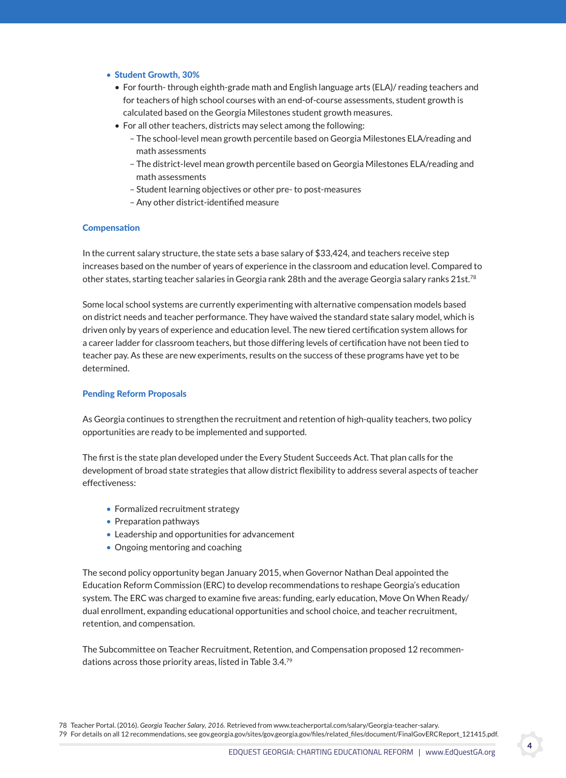#### • Student Growth, 30%

- For fourth- through eighth-grade math and English language arts (ELA)/ reading teachers and for teachers of high school courses with an end-of-course assessments, student growth is calculated based on the Georgia Milestones student growth measures.
- For all other teachers, districts may select among the following:
	- The school-level mean growth percentile based on Georgia Milestones ELA/reading and math assessments
	- The district-level mean growth percentile based on Georgia Milestones ELA/reading and math assessments
	- Student learning objectives or other pre- to post-measures
	- Any other district-identified measure

#### **Compensation**

 In the current salary structure, the state sets a base salary of \$33,424, and teachers receive step increases based on the number of years of experience in the classroom and education level. Compared to other states, starting teacher salaries in Georgia rank 28th and the average Georgia salary ranks 21st.<sup>78</sup>

 Some local school systems are currently experimenting with alternative compensation models based on district needs and teacher performance. They have waived the standard state salary model, which is driven only by years of experience and education level. The new tiered certification system allows for a career ladder for classroom teachers, but those differing levels of certification have not been tied to teacher pay. As these are new experiments, results on the success of these programs have yet to be determined.

#### **Pending Reform Proposals**

 As Georgia continues to strengthen the recruitment and retention of high-quality teachers, two policy opportunities are ready to be implemented and supported.

 The first is the state plan developed under the Every Student Succeeds Act. That plan calls for the development of broad state strategies that allow district flexibility to address several aspects of teacher effectiveness:

- Formalized recruitment strategy
- Preparation pathways
- Leadership and opportunities for advancement
- Ongoing mentoring and coaching

 The second policy opportunity began January 2015, when Governor Nathan Deal appointed the Education Reform Commission (ERC) to develop recommendations to reshape Georgia's education system. The ERC was charged to examine five areas: funding, early education, Move On When Ready/ dual enrollment, expanding educational opportunities and school choice, and teacher recruitment, retention, and compensation.

 The Subcommittee on Teacher Recruitment, Retention, and Compensation proposed 12 recommendations across those priority areas, listed in Table 3.4.79

78 Teacher Portal. (2016). *Georgia Teacher Salary, 2016.* Retrieved from www.teacherportal.com/salary/Georgia-teacher-salary. 79 For details on all 12 recommendations, see gov.georgia.gov/sites/gov.georgia.gov/files/related\_files/document/FinalGovERCReport\_121415.pdf.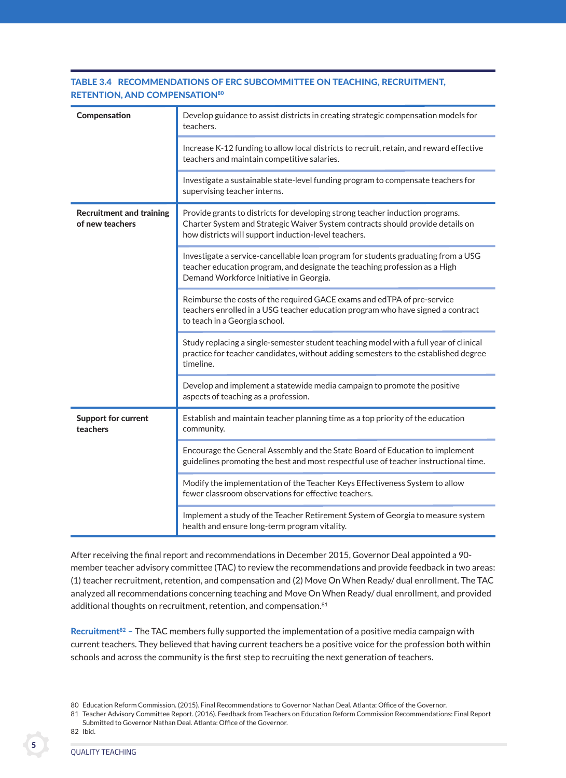| Compensation                                       | Develop guidance to assist districts in creating strategic compensation models for<br>teachers.                                                                                                                         |
|----------------------------------------------------|-------------------------------------------------------------------------------------------------------------------------------------------------------------------------------------------------------------------------|
|                                                    | Increase K-12 funding to allow local districts to recruit, retain, and reward effective<br>teachers and maintain competitive salaries.                                                                                  |
|                                                    | Investigate a sustainable state-level funding program to compensate teachers for<br>supervising teacher interns.                                                                                                        |
| <b>Recruitment and training</b><br>of new teachers | Provide grants to districts for developing strong teacher induction programs.<br>Charter System and Strategic Waiver System contracts should provide details on<br>how districts will support induction-level teachers. |
|                                                    | Investigate a service-cancellable loan program for students graduating from a USG<br>teacher education program, and designate the teaching profession as a High<br>Demand Workforce Initiative in Georgia.              |
|                                                    | Reimburse the costs of the required GACE exams and edTPA of pre-service<br>teachers enrolled in a USG teacher education program who have signed a contract<br>to teach in a Georgia school.                             |
|                                                    | Study replacing a single-semester student teaching model with a full year of clinical<br>practice for teacher candidates, without adding semesters to the established degree<br>timeline.                               |
|                                                    | Develop and implement a statewide media campaign to promote the positive<br>aspects of teaching as a profession.                                                                                                        |
| <b>Support for current</b><br>teachers             | Establish and maintain teacher planning time as a top priority of the education<br>community.                                                                                                                           |
|                                                    | Encourage the General Assembly and the State Board of Education to implement<br>guidelines promoting the best and most respectful use of teacher instructional time.                                                    |
|                                                    | Modify the implementation of the Teacher Keys Effectiveness System to allow<br>fewer classroom observations for effective teachers.                                                                                     |
|                                                    | Implement a study of the Teacher Retirement System of Georgia to measure system<br>health and ensure long-term program vitality.                                                                                        |

# Table 3.4 recoMMendaTions oF erc subcoMMiTTee on TeacHing, recruiTMenT, RETENTION, AND COMPENSATION80

After receiving the final report and recommendations in December 2015, Governor Deal appointed a 90 member teacher advisory committee (TAC) to review the recommendations and provide feedback in two areas: (1) teacher recruitment, retention, and compensation and (2) Move On When Ready/ dual enrollment. The TAC analyzed all recommendations concerning teaching and Move On When Ready/ dual enrollment, and provided additional thoughts on recruitment, retention, and compensation.<sup>81</sup>

Recruitment<sup>82</sup> – The TAC members fully supported the implementation of a positive media campaign with current teachers. They believed that having current teachers be a positive voice for the profession both within schools and across the community is the first step to recruiting the next generation of teachers.

<sup>80</sup> Education Reform Commission. (2015). Final Recommendations to Governor Nathan Deal. Atlanta: Office of the Governor.

<sup>81</sup> Teacher Advisory Committee Report. (2016). Feedback from Teachers on Education Reform Commission Recommendations: Final Report Submitted to Governor Nathan Deal. Atlanta: Office of the Governor.

<sup>82</sup> Ibid.